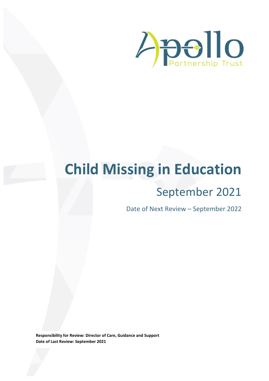

# **Child Missing in Education**

# September 2021

Date of Next Review – September 2022

**Responsibility for Review: Director of Care, Guidance and Support Date of Last Review: September 2021**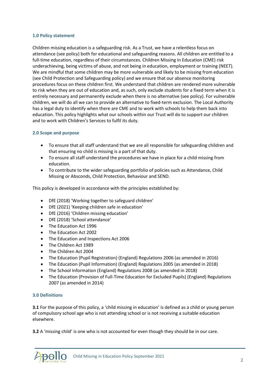#### **1.0 Policy statement**

Children missing education is a safeguarding risk. As a Trust, we have a relentless focus on attendance (see policy) both for educational and safeguarding reasons. All children are entitled to a full-time education, regardless of their circumstances. Children Missing in Education (CME) risk underachieving, being victims of abuse, and not being in education, employment or training (NEET). We are mindful that some children may be more vulnerable and likely to be missing from education (see Child Protection and Safeguarding policy) and we ensure that our absence monitoring procedures focus on these children first. We understand that children are rendered more vulnerable to risk when they are out of education and, as such, only exclude students for a fixed term when it is entirely necessary and permanently exclude when there is no alternative (see policy). For vulnerable children, we will do all we can to provide an alternative to fixed-term exclusion. The Local Authority has a legal duty to identify when there are CME and to work with schools to help them back into education. This policy highlights what our schools within our Trust will do to support our children and to work with Children's Services to fulfil its duty.

#### **2.0 Scope and purpose**

- To ensure that all staff understand that we are all responsible for safeguarding children and that ensuring no child is missing is a part of that duty.
- To ensure all staff understand the procedures we have in place for a child missing from education.
- To contribute to the wider safeguarding portfolio of policies such as Attendance, Child Missing or Absconds, Child Protection, Behaviour and SEND.

This policy is developed in accordance with the principles established by:

- DfE (2018) 'Working together to safeguard children'
- DfE (2021) 'Keeping children safe in education'
- DfE (2016) 'Children missing education'
- DfE (2018) 'School attendance'
- The Education Act 1996
- The Education Act 2002
- The Education and Inspections Act 2006
- The Children Act 1989
- The Children Act 2004
- The Education (Pupil Registration) (England) Regulations 2006 (as amended in 2016)
- The Education (Pupil Information) (England) Regulations 2005 (as amended in 2018)
- The School Information (England) Regulations 2008 (as amended in 2018)
- The Education (Provision of Full-Time Education for Excluded Pupils) (England) Regulations 2007 (as amended in 2014)

#### **3.0 Definitions**

**3.1** For the purpose of this policy, a 'child missing in education' is defined as a child or young person of compulsory school age who is not attending school or is not receiving a suitable education elsewhere.

**3.2** A 'missing child' is one who is not accounted for even though they should be in our care.

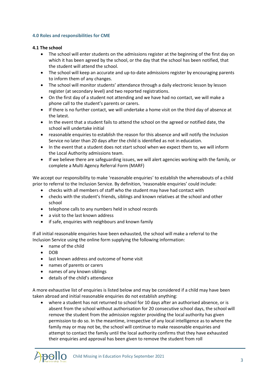## **4.0 Roles and responsibilities for CME**

#### **4.1 The school**

- The school will enter students on the admissions register at the beginning of the first day on which it has been agreed by the school, or the day that the school has been notified, that the student will attend the school.
- The school will keep an accurate and up-to-date admissions register by encouraging parents to inform them of any changes.
- The school will monitor students' attendance through a daily electronic lesson by lesson register (at secondary level) and two reported registrations.
- On the first day of a student not attending and we have had no contact, we will make a phone call to the student's parents or carers.
- If there is no further contact, we will undertake a home visit on the third day of absence at the latest.
- In the event that a student fails to attend the school on the agreed or notified date, the school will undertake initial
- reasonable enquiries to establish the reason for this absence and will notify the Inclusion Service no later than 20 days after the child is identified as not in education.
- In the event that a student does not start school when we expect them to, we will inform the Local Authority admissions team.
- If we believe there are safeguarding issues, we will alert agencies working with the family, or complete a Multi Agency Referral Form (MARF)

We accept our responsibility to make 'reasonable enquiries' to establish the whereabouts of a child prior to referral to the Inclusion Service. By definition, 'reasonable enquiries' could include:

- checks with all members of staff who the student may have had contact with
- checks with the student's friends, siblings and known relatives at the school and other school
- telephone calls to any numbers held in school records
- a visit to the last known address
- if safe, enquiries with neighbours and known family

If all initial reasonable enquiries have been exhausted, the school will make a referral to the Inclusion Service using the online form supplying the following information:

- name of the child
- $\bullet$  DOB
- last known address and outcome of home visit
- names of parents or carers
- names of any known siblings
- details of the child's attendance

A more exhaustive list of enquiries is listed below and may be considered if a child may have been taken abroad and initial reasonable enquiries do not establish anything:

 where a student has not returned to school for 10 days after an authorised absence, or is absent from the school without authorisation for 20 consecutive school days, the school will remove the student from the admission register providing the local authority has given permission to do so. In the meantime, irrespective of any local intelligence as to where the family may or may not be, the school will continue to make reasonable enquiries and attempt to contact the family until the local authority confirms that they have exhausted their enquiries and approval has been given to remove the student from roll

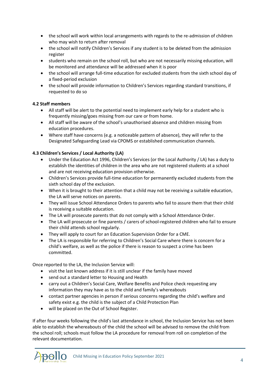- the school will work within local arrangements with regards to the re-admission of children who may wish to return after removal
- the school will notify Children's Services if any student is to be deleted from the admission register
- students who remain on the school roll, but who are not necessarily missing education, will be monitored and attendance will be addressed when it is poor
- the school will arrange full-time education for excluded students from the sixth school day of a fixed-period exclusion
- the school will provide information to Children's Services regarding standard transitions, if requested to do so

# **4.2 Staff members**

- All staff will be alert to the potential need to implement early help for a student who is frequently missing/goes missing from our care or from home.
- All staff will be aware of the school's unauthorised absence and children missing from education procedures.
- Where staff have concerns (e.g. a noticeable pattern of absence), they will refer to the Designated Safeguarding Lead via CPOMS or established communication channels.

# **4.3 Children's Services / Local Authority (LA)**

- Under the Education Act 1996, Children's Services (or the Local Authority / LA) has a duty to establish the identities of children in the area who are not registered students at a school and are not receiving education provision otherwise.
- Children's Services provide full-time education for permanently excluded students from the sixth school day of the exclusion.
- When it is brought to their attention that a child may not be receiving a suitable education, the LA will serve notices on parents.
- They will issue School Attendance Orders to parents who fail to assure them that their child is receiving a suitable education.
- The LA will prosecute parents that do not comply with a School Attendance Order.
- The LA will prosecute or fine parents / carers of school-registered children who fail to ensure their child attends school regularly.
- They will apply to court for an Education Supervision Order for a CME.
- The LA is responsible for referring to Children's Social Care where there is concern for a child's welfare, as well as the police if there is reason to suspect a crime has been committed.

Once reported to the LA, the Inclusion Service will:

- visit the last known address if it is still unclear if the family have moved
- send out a standard letter to Housing and Health
- carry out a Children's Social Care, Welfare Benefits and Police check requesting any information they may have as to the child and family's whereabouts
- contact partner agencies in person if serious concerns regarding the child's welfare and safety exist e.g. the child is the subject of a Child Protection Plan
- will be placed on the Out of School Register.

If after four weeks following the child's last attendance in school, the Inclusion Service has not been able to establish the whereabouts of the child the school will be advised to remove the child from the school roll; schools must follow the LA procedure for removal from roll on completion of the relevant documentation.

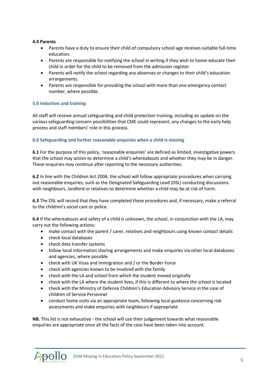# **4.4 Parents**

- Parents have a duty to ensure their child of compulsory school age receives suitable full-time education.
- Parents are responsible for notifying the school in writing if they wish to home-educate their child in order for the child to be removed from the admission register.
- Parents will notify the school regarding any absences or changes to their child's education arrangements.
- Parents are responsible for providing the school with more than one emergency contact number, where possible.

# **5.0 Induction and training**

All staff will receive annual safeguarding and child protection training, including an update on the various safeguarding concern possibilities that CME could represent, any changes to the early help process and staff members' role in this process.

# **6.0 Safeguarding and further reasonable enquiries when a child is missing**

**6.1** For the purpose of this policy, 'reasonable enquiries' are defined as limited, investigative powers that the school may action to determine a child's whereabouts and whether they may be in danger. These enquiries may continue after reporting to the necessary authorities.

**6.2** In line with the Children Act 2004, the school will follow appropriate procedures when carrying out reasonable enquiries, such as the Designated Safeguarding Lead (DSL) conducting discussions with neighbours, landlord or relatives to determine whether a child may be at risk of harm.

**6.3** The DSL will record that they have completed these procedures and, if necessary, make a referral to the children's social care or police.

**6.4** If the whereabouts and safety of a child is unknown, the school, in conjunction with the LA, may carry out the following actions:

- make contact with the parent / carer, relatives and neighbours using known contact details
- check local databases
- check data transfer systems
- follow local information sharing arrangements and make enquiries via other local databases and agencies, where possible
- check with UK Visas and Immigration and / or the Border Force
- check with agencies known to be involved with the family
- check with the LA and school from which the student moved originally
- check with the LA where the student lives, if this is different to where the school is located
- check with the Ministry of Defence Children's Education Advisory Service in the case of children of Service Personnel
- conduct home visits via an appropriate team, following local guidance concerning risk assessments and make enquiries with neighbours if appropriate

**NB.** This list is not exhaustive - the school will use their judgement towards what reasonable enquiries are appropriate once all the facts of the case have been taken into account.

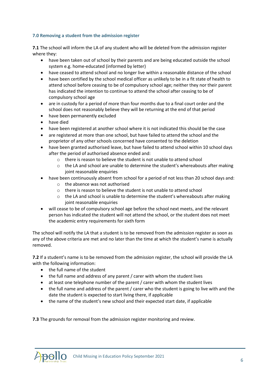# **7.0 Removing a student from the admission register**

**7.1** The school will inform the LA of any student who will be deleted from the admission register where they:

- have been taken out of school by their parents and are being educated outside the school system e.g. home-educated (informed by letter)
- have ceased to attend school and no longer live within a reasonable distance of the school
- have been certified by the school medical officer as unlikely to be in a fit state of health to attend school before ceasing to be of compulsory school age; neither they nor their parent has indicated the intention to continue to attend the school after ceasing to be of compulsory school age
- are in custody for a period of more than four months due to a final court order and the school does not reasonably believe they will be returning at the end of that period
- have been permanently excluded
- have died
- have been registered at another school where it is not indicated this should be the case
- are registered at more than one school, but have failed to attend the school and the proprietor of any other schools concerned have consented to the deletion
- have been granted authorised leave, but have failed to attend school within 10 school days after the period of authorised absence ended and:
	- o there is reason to believe the student is not unable to attend school
	- $\circ$  the LA and school are unable to determine the student's whereabouts after making joint reasonable enquiries
- have been continuously absent from school for a period of not less than 20 school days and:
	- o the absence was not authorised
	- o there is reason to believe the student is not unable to attend school
	- $\circ$  the LA and school is unable to determine the student's whereabouts after making joint reasonable enquiries
- will cease to be of compulsory school age before the school next meets, and the relevant person has indicated the student will not attend the school, or the student does not meet the academic entry requirements for sixth form

The school will notify the LA that a student is to be removed from the admission register as soon as any of the above criteria are met and no later than the time at which the student's name is actually removed.

**7.2** If a student's name is to be removed from the admission register, the school will provide the LA with the following information:

- the full name of the student
- the full name and address of any parent / carer with whom the student lives
- at least one telephone number of the parent / carer with whom the student lives
- the full name and address of the parent / carer who the student is going to live with and the date the student is expected to start living there, if applicable
- the name of the student's new school and their expected start date, if applicable

**7.3** The grounds for removal from the admission register monitoring and review.